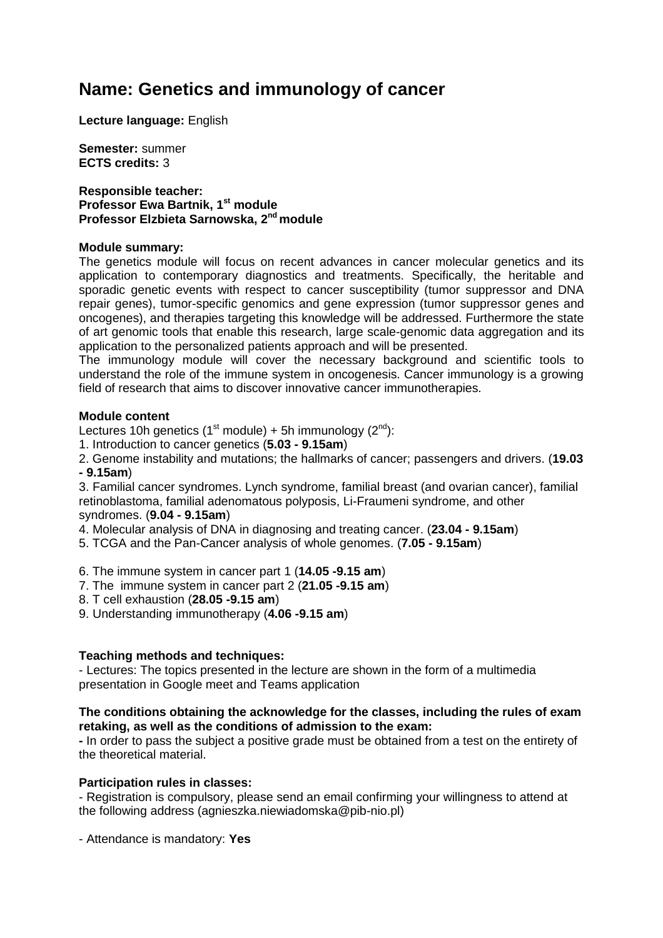# **Name: Genetics and immunology of cancer**

**Lecture language:** English

**Semester:** summer **ECTS credits:** 3

**Responsible teacher: Professor Ewa Bartnik, 1st module Professor Elzbieta Sarnowska, 2nd module**

## **Module summary:**

The genetics module will focus on recent advances in cancer molecular genetics and its application to contemporary diagnostics and treatments. Specifically, the heritable and sporadic genetic events with respect to cancer susceptibility (tumor suppressor and DNA repair genes), tumor-specific genomics and gene expression (tumor suppressor genes and oncogenes), and therapies targeting this knowledge will be addressed. Furthermore the state of art genomic tools that enable this research, large scale-genomic data aggregation and its application to the personalized patients approach and will be presented.

The immunology module will cover the necessary background and scientific tools to understand the role of the immune system in oncogenesis. Cancer immunology is a growing field of research that aims to discover innovative cancer immunotherapies.

## **Module content**

Lectures 10h genetics (1<sup>st</sup> module) + 5h immunology ( $2^{nd}$ ):

1. Introduction to cancer genetics (**5.03 - 9.15am**)

2. Genome instability and mutations; the hallmarks of cancer; passengers and drivers. (**19.03 - 9.15am**)

3. Familial cancer syndromes. Lynch syndrome, familial breast (and ovarian cancer), familial retinoblastoma, familial adenomatous polyposis, Li-Fraumeni syndrome, and other syndromes. (**9.04 - 9.15am**)

4. Molecular analysis of DNA in diagnosing and treating cancer. (**23.04 - 9.15am**)

5. TCGA and the Pan-Cancer analysis of whole genomes. (**7.05 - 9.15am**)

6. The immune system in cancer part 1 (**14.05 -9.15 am**)

- 7. The immune system in cancer part 2 (**21.05 -9.15 am**)
- 8. T cell exhaustion (**28.05 -9.15 am**)
- 9. Understanding immunotherapy (**4.06 -9.15 am**)

## **Teaching methods and techniques:**

- Lectures: The topics presented in the lecture are shown in the form of a multimedia presentation in Google meet and Teams application

## **The conditions obtaining the acknowledge for the classes, including the rules of exam retaking, as well as the conditions of admission to the exam:**

**-** In order to pass the subject a positive grade must be obtained from a test on the entirety of the theoretical material.

## **Participation rules in classes:**

- Registration is compulsory, please send an email confirming your willingness to attend at the following address (agnieszka.niewiadomska@pib-nio.pl)

- Attendance is mandatory: **Yes**